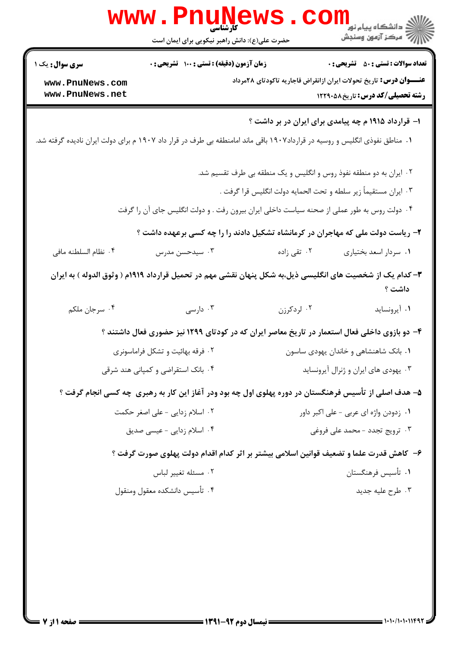|                                                              | <b>WWW.PIIU</b><br>حضرت علی(ع): دانش راهبر نیکویی برای ایمان است                                                                                                                                                                                                 |                                                                                                                                       | ڪ دانشڪاه پيا <sub>م</sub> نور ■<br>۾ مرکز آزمون وسنجش                                                                                                               |
|--------------------------------------------------------------|------------------------------------------------------------------------------------------------------------------------------------------------------------------------------------------------------------------------------------------------------------------|---------------------------------------------------------------------------------------------------------------------------------------|----------------------------------------------------------------------------------------------------------------------------------------------------------------------|
| <b>سری سوال :</b> یک ۱<br>www.PnuNews.com<br>www.PnuNews.net | زمان آزمون (دقیقه) : تستی : ۱۰۰ تشریحی : ۰                                                                                                                                                                                                                       |                                                                                                                                       | <b>تعداد سوالات : تستي : 50 ٪ تشريحي : 0</b><br><b>عنــــوان درس:</b> تاریخ تحولات ایران ازانقراض قاجاریه تاکودتای ۲۸مرداد<br><b>رشته تحصیلی/کد درس:</b> تاریخ588121 |
|                                                              | ۰۱ مناطق نفوذی انگلیس و روسیه در قرارداد۱۹۰۷ باقی ماند امامنطقه بی طرف در قرار داد ۱۹۰۷ م برای دولت ایران نادیده گرفته شد.                                                                                                                                       |                                                                                                                                       | ۱– قرارداد ۱۹۱۵ م چه پیامدی برای ایران در بر داشت ؟                                                                                                                  |
|                                                              | ۰۴ دولت روس به طور عملی از صحنه سیاست داخلی ایران بیرون رفت . و دولت انگلیس جای آن را گرفت                                                                                                                                                                       | ۰۲ ایران به دو منطقه نفوذ روس و انگلیس و یک منطقه بی طرف تقسیم شد.<br>٠٣ ايران مستقيماً زير سلطه و تحت الحمايه دولت انگليس قرا گرفت . |                                                                                                                                                                      |
| ۰۴ نظام السلطنه مافى                                         | ۲- ریاست دولت ملی که مهاجران در کرمانشاه تشکیل دادند را را چه کسی برعهده داشت ؟<br>۰۳ سیدحسن مدرس                                                                                                                                                                | ۰۲ تقی زاده                                                                                                                           | ۰۱ سردار اسعد بختیاری                                                                                                                                                |
| ۰۴ سرجان ملکم                                                | ۳- کدام یک از شخصیت های انگلیسی ذیل،به شکل پنهان نقشی مهم در تحمیل قرارداد ۱۹۱۹م ( وثوق الدوله ) به ایران<br>۰۳ دارسی                                                                                                                                            | ۰۲ لردکرزن                                                                                                                            | داشت ؟<br>۰۱ آیرونساید                                                                                                                                               |
|                                                              | ۴– دو بازوی داخلی فعال استعمار در تاریخ معاصر ایران که در کودتای ۱۲۹۹ نیز حضوری فعال داشتند ؟<br>۰۲ فرقه بهائیت و تشکل فراماسونری<br>۰۴ بانک استقراضی و کمیانی هند شرقی                                                                                          |                                                                                                                                       | ٠١ بانک شاهنشاهي و خاندان يهودي ساسون<br>۰۳ پهودي هاي ايران و ژنرال آيرونسايد                                                                                        |
|                                                              | ۵– هدف اصلی از تأسیس فرهنگستان در دوره پهلوی اول چه بود ودر آغاز این کار به رهبری  چه کسی انجام گرفت ؟<br>۰۲ اسلام زدایی - علی اصغر حکمت<br>۰۴ اسلام زدایی - عیسی صدیق<br>۶– کاهش قدرت علما و تضعیف قوانین اسلامی بیشتر بر اثر کدام اقدام دولت پهلوی صورت گرفت ؟ |                                                                                                                                       | ۰۱ زدودن واژه ای عربی - علی اکبر داور<br>۰۳ ترويج تجدد - محمد علي فروغي                                                                                              |
|                                                              | ٠٢ مسئله تغيير لباس<br>۰۴ تأسيس دانشكده معقول ومنقول                                                                                                                                                                                                             |                                                                                                                                       | ۰۱ تأسيس فرهنگستان<br>۰۳ طرح عليه جديد                                                                                                                               |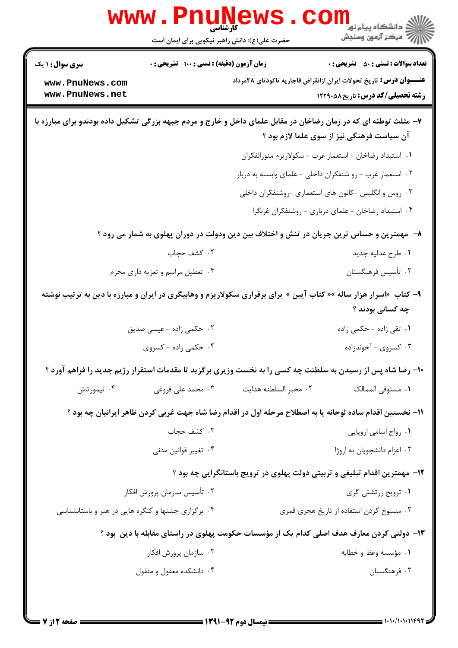|                                                                                                                                                                | www.PnuNews                                               |                                                                                                                   | ڪ دانشڪاه پيا <sub>م</sub> نور<br><mark>√</mark> مرڪز آزمون وسنڊش                                                    |  |  |
|----------------------------------------------------------------------------------------------------------------------------------------------------------------|-----------------------------------------------------------|-------------------------------------------------------------------------------------------------------------------|----------------------------------------------------------------------------------------------------------------------|--|--|
|                                                                                                                                                                | حضرت علی(ع): دانش راهبر نیکویی برای ایمان است             |                                                                                                                   |                                                                                                                      |  |  |
| <b>سری سوال : ۱ یک</b>                                                                                                                                         | <b>زمان آزمون (دقیقه) : تستی : 100 تشریحی : 0</b>         |                                                                                                                   | <b>تعداد سوالات : تستی : 50 ٪ تشریحی : 0</b>                                                                         |  |  |
| www.PnuNews.com<br>www.PnuNews.net                                                                                                                             |                                                           |                                                                                                                   | <b>عنــــوان درس:</b> تاریخ تحولات ایران ازانقراض قاجاریه تاکودتای ۲۸مرداد<br><b>رشته تحصیلی/کد درس:</b> تاریخ588121 |  |  |
| ۷- مثلث توطئه ای که در زمان رضاخان در مقابل علمای داخل و خارج و مردم جبهه بزرگی تشکیل داده بودندو برای مبارزه با<br>آن سیاست فرهنگی نیز از سوی علما لازم بود ؟ |                                                           |                                                                                                                   |                                                                                                                      |  |  |
|                                                                                                                                                                |                                                           |                                                                                                                   | ٠١ استبداد رضاخان - استعمار غرب - سكولاريزم منورالفكران                                                              |  |  |
|                                                                                                                                                                | ۰۲ استعمار غرب - رو شنفکران داخلی - علمای وابسته به دربار |                                                                                                                   |                                                                                                                      |  |  |
|                                                                                                                                                                |                                                           |                                                                                                                   | ۰۳ روس و انگلیس -کانون های استعماری -روشنفکران داخلی                                                                 |  |  |
|                                                                                                                                                                |                                                           |                                                                                                                   | ۰۴ استبداد رضاخان - علماي درباري - روشنفكران غربگرا                                                                  |  |  |
|                                                                                                                                                                |                                                           | ۸– مهمترین و حساس ترین جریان در تنش و اختلاف بین دین ودولت در دوران پهلوی به شمار می رود ؟                        |                                                                                                                      |  |  |
|                                                                                                                                                                | ۰۲ کشف حجاب                                               |                                                                                                                   | ٠١ طرح عدليه جديد                                                                                                    |  |  |
|                                                                                                                                                                | ۰۴ تعطیل مراسم و تعزیه داری محرم                          |                                                                                                                   | ۰۳ تأسیس فرهنگستان                                                                                                   |  |  |
|                                                                                                                                                                |                                                           | ۹- کتاب «اسرار هزار ساله »« کتاب آیین » برای برقراری سکولاریزم و وهابیگری در ایران و مبارزه با دین به ترتیب نوشته | چه کسانی بودند ؟                                                                                                     |  |  |
|                                                                                                                                                                | ۰۲ حکمی زاده - عیسی صدیق                                  |                                                                                                                   | ۰۱ تقی زاده - حکمی زاده                                                                                              |  |  |
|                                                                                                                                                                | ۰۴ حکمی زاده - کسروی                                      |                                                                                                                   | ۰۳ کسروی - آخوندزاده                                                                                                 |  |  |
|                                                                                                                                                                |                                                           |                                                                                                                   | ۱۰– رضا شاه پس از رسیدن به سلطنت چه کسی را به نخست وزیری برگزید تا مقدمات استقرار رژیم جدید را فراهم آورد ؟          |  |  |
| ۰۴ تیمورتاش                                                                                                                                                    | ۰۳ محمد علی فروغی                                         | ٠٢ مخبر السلطنه هدايت                                                                                             | ٠١ مستوفى الممالك                                                                                                    |  |  |
|                                                                                                                                                                |                                                           |                                                                                                                   | 11– نخستین اقدام ساده لوحانه یا به اصطلاح مرحله اول در اقدام رضا شاه جهت غربی کردن ظاهر ایرانیان چه بود ؟            |  |  |
|                                                                                                                                                                | ۰۲ کشف حجاب                                               |                                                                                                                   | ٠١. رواج اسامي اروپايي                                                                                               |  |  |
|                                                                                                                                                                | ۰۴ تغییر قوانین مدنی                                      |                                                                                                                   | ٠٣ اعزام دانشجويان به اروژا                                                                                          |  |  |
| ۱۲- مهمترین اقدام تبلیغی و تربیتی دولت پهلوی در ترویج باستانگرایی چه بود ؟                                                                                     |                                                           |                                                                                                                   |                                                                                                                      |  |  |
|                                                                                                                                                                | ۰۲ تأسیس سازمان پرورش افکار                               |                                                                                                                   | ۰۱ ترویج زرتشتی گری                                                                                                  |  |  |
|                                                                                                                                                                | ۰۴ برگزاری جشنها و کنگره هایی در هنر و باستانشناسی        |                                                                                                                   | ۰۳ منسوخ کردن استفاده از تاریخ هجری قمری                                                                             |  |  |
|                                                                                                                                                                |                                                           |                                                                                                                   | ۱۳– دولتی کردن معارف هدف اصلی کدام یک از مؤسسات حکومت پهلوی در راستای مقابله با دین بود ؟                            |  |  |
|                                                                                                                                                                | ۰۲ سازمان پرورش افکار                                     |                                                                                                                   | ۰۱ مؤسسه وعظ و خطابه                                                                                                 |  |  |
|                                                                                                                                                                | ۰۴ دانشکده معقول و منقول                                  |                                                                                                                   | ۰۳ فرهنگستان                                                                                                         |  |  |
|                                                                                                                                                                |                                                           |                                                                                                                   |                                                                                                                      |  |  |
|                                                                                                                                                                |                                                           |                                                                                                                   |                                                                                                                      |  |  |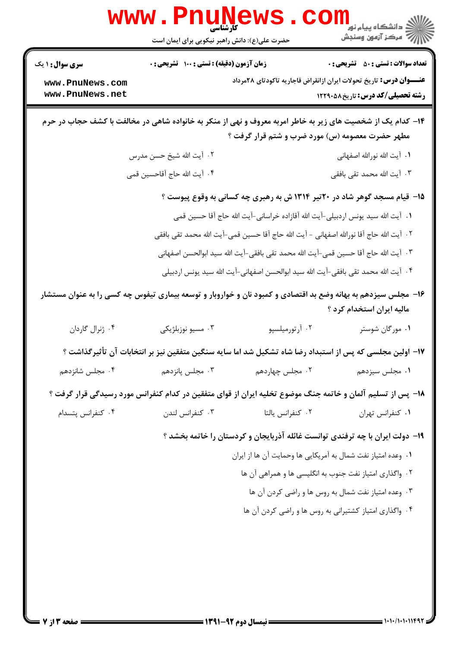|                                                                                                         | w w w<br>کار شناسی<br>حضرت علی(ع): دانش راهبر نیکویی برای ایمان است |                                                                                            | ∑ دانشڪاه پيام نو <mark>ر</mark><br>7 مرڪز آزمون وسنڊش                                                                                     |  |  |
|---------------------------------------------------------------------------------------------------------|---------------------------------------------------------------------|--------------------------------------------------------------------------------------------|--------------------------------------------------------------------------------------------------------------------------------------------|--|--|
| <b>سری سوال : ۱ یک</b>                                                                                  | <b>زمان آزمون (دقیقه) : تستی : 100 تشریحی : 0</b>                   |                                                                                            | <b>تعداد سوالات : تستي : 50 ٪ تشريحي : 0</b>                                                                                               |  |  |
| www.PnuNews.com<br>www.PnuNews.net                                                                      |                                                                     |                                                                                            | <b>عنــــوان درس:</b> تاریخ تحولات ایران ازانقراض قاجاریه تاکودتای ۲۸مرداد<br><b>رشته تحصیلی/کد درس:</b> تاریخ۸۵۸۱۲۲۹۰                     |  |  |
|                                                                                                         |                                                                     | مطهر حضرت معصومه (س) مورد ضرب و شتم قرار گرفت ؟                                            | ۱۴– کدام یک از شخصیت های زیر به خاطر امربه معروف و نهی از منکر به خانواده شاهی در مخالفت با کشف حجاب در حرم                                |  |  |
|                                                                                                         |                                                                     |                                                                                            | ۰۱ آیت الله نورالله اصفهانی                                                                                                                |  |  |
|                                                                                                         | ۴. آیت الله حاج آقاحسین قمی                                         |                                                                                            | ۴.  آیت الله محمد تقی بافقی                                                                                                                |  |  |
|                                                                                                         |                                                                     |                                                                                            | ۱۵- قیام مسجد گوهر شاد در ۲۰تیر ۱۳۱۴ ش به رهبری چه کسانی به وقوع پیوست ؟                                                                   |  |  |
|                                                                                                         |                                                                     | ١.  آيت الله سيد يونس اردبيلي-آيت الله آقازاده خراساني-آيت الله حاج آقا حسين قمي           |                                                                                                                                            |  |  |
|                                                                                                         |                                                                     | ٢ .  آيت الله حاج آقا نورالله اصفهانى  – آيت الله حاج آقا حسين قمى-آيت الله محمد تقى بافقى |                                                                                                                                            |  |  |
|                                                                                                         |                                                                     | ٣.  آيت الله حاج آقا حسين قمى-آيت الله محمد تقى بافقى-آيت الله سيد ابوالحسن اصفهانى        |                                                                                                                                            |  |  |
|                                                                                                         |                                                                     | ۴ .  آيت الله محمد تقى بافقى–آيت الله سيد ابوالحسن اصفهانى–آيت الله سيد يونس اردبيلى       |                                                                                                                                            |  |  |
|                                                                                                         |                                                                     |                                                                                            | ۱۶– مجلس سیزدهم به بهانه وضع بد اقتصادی و کمبود نان و خواروبار و توسعه بیماری تیفوس چه کسی را به عنوان مستشار<br>مالیه ایران استخدام کرد ؟ |  |  |
| ۰۴ ژنرال گاردان                                                                                         | ۰۳ مسیو نوزبلژیکی                                                   | ۰۲ آرتورمیلسپو                                                                             | ۰۱ مورگان شوستر                                                                                                                            |  |  |
| ۱۷– اولین مجلسی که پس از استبداد رضا شاه تشکیل شد اما سایه سنگین متفقین نیز بر انتخابات آن تأثیرگذاشت ؟ |                                                                     |                                                                                            |                                                                                                                                            |  |  |
| ۰۴ مجلس شانزدهم                                                                                         | ۰۳ مجلس پانزدهم                                                     | ۰۲ مجلس چهاردهم                                                                            | ۰۱ مجلس سیزدهم                                                                                                                             |  |  |
|                                                                                                         |                                                                     |                                                                                            | ۱۸– پس از تسلیم آلمان و خاتمه جنگ موضوع تخلیه ایران از قوای متفقین در کدام کنفرانس مورد رسیدگی قرار گرفت ؟                                 |  |  |
| ۰۴ كنفرانس پتسدام                                                                                       | ۰۳ كنفرانس لندن                                                     | ٠٢ كنفرانس يالتا                                                                           | ٠١ كنفرانس تهران                                                                                                                           |  |  |
|                                                                                                         |                                                                     |                                                                                            | ۱۹- دولت ایران با چه ترفندی توانست غائله آذربایجان و کردستان را خاتمه بخشد ؟                                                               |  |  |
|                                                                                                         |                                                                     | ٠١. وعده امتياز نفت شمال به آمريكايي ها وحمايت آن ها از ايران                              |                                                                                                                                            |  |  |
|                                                                                                         |                                                                     |                                                                                            | ۰۲ واگذاری امتیاز نفت جنوب به انگلیسی ها و همراهی آن ها                                                                                    |  |  |
|                                                                                                         |                                                                     |                                                                                            | ۰۳ وعده امتیاز نفت شمال به روس ها و راضی کردن آن ها                                                                                        |  |  |
|                                                                                                         |                                                                     |                                                                                            | ۰۴ واگذاری امتیاز کشتیرانی به روس ها و راضی کردن آن ها                                                                                     |  |  |
|                                                                                                         |                                                                     |                                                                                            |                                                                                                                                            |  |  |
|                                                                                                         |                                                                     |                                                                                            |                                                                                                                                            |  |  |
|                                                                                                         |                                                                     |                                                                                            |                                                                                                                                            |  |  |
|                                                                                                         |                                                                     |                                                                                            |                                                                                                                                            |  |  |

 $Dm_1$ ,  $N_{ATM}$ 

∎ ⊿

 $=$  1+1+/1+1+114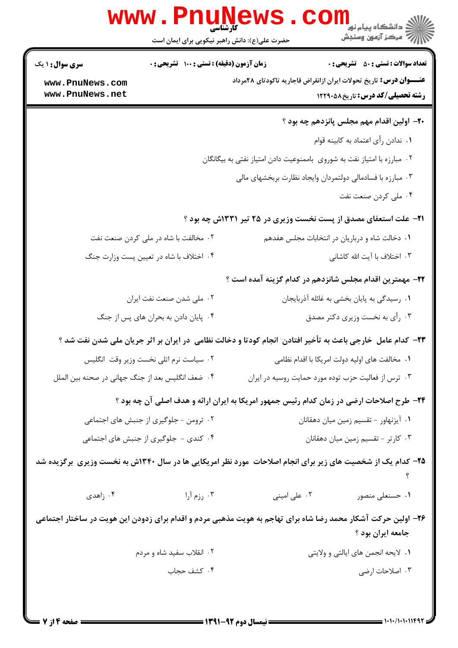|                                                                                                               | <b>www.Pnune</b><br>حضرت علی(ع): دانش راهبر نیکویی برای ایمان است                           |                                                                            | دانشکاه پیام نور<br>ا∛ مرکز آزمون وسنجش         |  |
|---------------------------------------------------------------------------------------------------------------|---------------------------------------------------------------------------------------------|----------------------------------------------------------------------------|-------------------------------------------------|--|
| <b>سری سوال : ۱ یک</b>                                                                                        | زمان آزمون (دقیقه) : تستی : ۱۰۰ آتشریحی : ۰<br><b>تعداد سوالات : تستي : 50 ٪ تشريحي : 0</b> |                                                                            |                                                 |  |
| www.PnuNews.com<br>www.PnuNews.net                                                                            |                                                                                             | <b>عنــــوان درس:</b> تاریخ تحولات ایران ازانقراض قاجاریه تاکودتای ۲۸مرداد | <b>رشته تحصیلی/کد درس: تاریخ ۱۲۲۹۰۵۸</b>        |  |
|                                                                                                               |                                                                                             |                                                                            | ۲۰– اولین اقدام مهم مجلس پانزدهم چه بود ؟       |  |
|                                                                                                               |                                                                                             |                                                                            | ٠١. ندادن رأى اعتماد به كابينه قوام             |  |
|                                                                                                               |                                                                                             | ۰۲ مبارزه با امتیاز نفت به شوروی  باممنوعیت دادن امتیاز نفتی به بیگانگان   |                                                 |  |
|                                                                                                               |                                                                                             | ۰۳ مبارزه با فسادمالی دولتمردان وایجاد نظارت بربخشهای مالی                 |                                                 |  |
|                                                                                                               |                                                                                             |                                                                            | ۰۴ ملی کردن صنعت نفت                            |  |
| <b>۲۱</b> - علت استعفای مصدق از پست نخست وزیری در ۲۵ تیر ۱۳۳۱ش چه بود ؟                                       |                                                                                             |                                                                            |                                                 |  |
|                                                                                                               | ۰۲ مخالفت با شاه در ملی کردن صنعت نفت                                                       |                                                                            | ۰۱ دخالت شاه و درباریان در انتخابات مجلس هفدهم  |  |
|                                                                                                               | ۰۴ اختلاف با شاه در تعیین پست وزارت جنگ                                                     |                                                                            | ۰۳ اختلاف با آیت الله کاشانی                    |  |
|                                                                                                               |                                                                                             | ۲۲– مهمترین اقدام مجلس شانزدهم در کدام گزینه آمده است ؟                    |                                                 |  |
|                                                                                                               | ۰۲ ملي شدن صنعت نفت ايران                                                                   |                                                                            | ۰۱ رسیدگی به پایان بخشی به غائله آذربایجان      |  |
|                                                                                                               | ۰۴ پایان دادن به بحران های پس از جنگ                                                        |                                                                            | ۰۳ رأى به نخست وزيرى دكتر مصدق                  |  |
| ۲۳– کدام عامل خارجی باعث به تأخیر افتادن انجام کودتا و دخالت نظامی در ایران بر اثر جریان ملی شدن نفت شد ؟     |                                                                                             |                                                                            |                                                 |  |
|                                                                                                               | ٠٢ سياست نرم اتلى نخست وزير وقت انگليس                                                      |                                                                            | ٠١. مخالفت هاي اوليه دولت امريكا با اقدام نظامي |  |
| ۰۴ ضعف انگلیس بعد از جنگ جهانی در صحنه بین الملل                                                              |                                                                                             | ۰۳ ترس از فعالیت حزب توده مورد حمایت روسیه در ایران                        |                                                 |  |
| ۲۴- طرح اصلاحات ارضی در زمان کدام رئیس جمهور امریکا به ایران ارائه و هدف اصلی آن چه بود ؟                     |                                                                                             |                                                                            |                                                 |  |
| ۰۲ ترومن - جلوگیری از جنبش های اجتماعی                                                                        |                                                                                             | ٠١ آيزنهاور - تقسيم زمين ميان دهقانان                                      |                                                 |  |
| ۰۴ کندی - جلوگیری از جنبش های اجتماعی                                                                         |                                                                                             |                                                                            | ٠٣ كارتر - تقسيم زمين ميان دهقانان              |  |
| ۲۵– کدام یک از شخصیت های زیر برای انجام اصلاحات ًمورد نظر امریکایی ها در سال ۱۳۴۰ش به نخست وزیری ًبرگزیده شد  |                                                                                             |                                                                            |                                                 |  |
| ۰۴ زاهدی                                                                                                      | ۰۳ رزم آرا                                                                                  | ۰۲ علی امینی                                                               | ۰۱ حسنعلی منصور                                 |  |
| ۲۶– اولین حرکت آشکار محمد رضا شاه برای تهاجم به هویت مذهبی مردم و اقدام برای زدودن این هویت در ساختار اجتماعی |                                                                                             |                                                                            | جامعه ايران بود ؟                               |  |
|                                                                                                               | ۰۲ انقلاب سفید شاه و مردم                                                                   |                                                                            | ۰۱ لایحه انجمن های ایالتی و ولایتی              |  |
|                                                                                                               | ۰۴ كشف حجاب                                                                                 |                                                                            | ۰۳ اصلاحات ارضی                                 |  |
|                                                                                                               |                                                                                             |                                                                            |                                                 |  |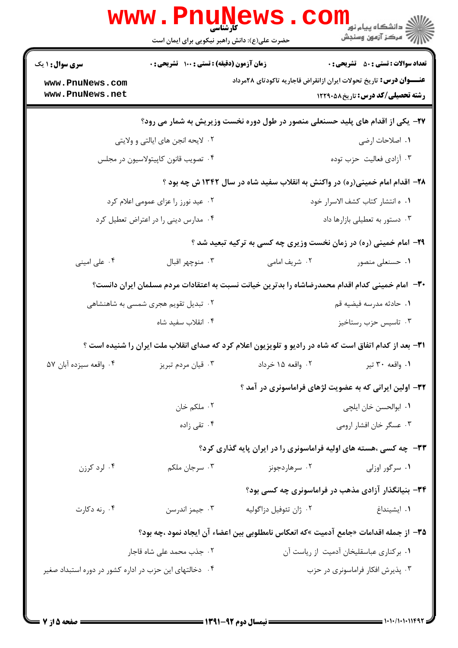| دانشگاه پیام نور ¶<br>اچ دانشگاه پیام نور<br>اچ                                                                        |                        | حضرت علی(ع): دانش راهبر نیکویی برای ایمان است          |                                    |
|------------------------------------------------------------------------------------------------------------------------|------------------------|--------------------------------------------------------|------------------------------------|
| <b>تعداد سوالات : تستی : 50 ٪ تشریحی : 0</b>                                                                           |                        | زمان آزمون (دقیقه) : تستی : 100 تشریحی : 0             | <b>سری سوال : ۱ یک</b>             |
| <b>عنــــوان درس:</b> تاریخ تحولات ایران ازانقراض قاجاریه تاکودتای ۲۸مرداد<br><b>رشته تحصیلی/کد درس: تاریخ ۱۲۲۹۰۵۸</b> |                        |                                                        | www.PnuNews.com<br>www.PnuNews.net |
| ۲۷- یکی از اقدام های پلید حسنعلی منصور در طول دوره نخست وزیریش به شمار می رود؟                                         |                        |                                                        |                                    |
| ۰۱ اصلاحات ارضی                                                                                                        |                        | ۰۲ لایحه انجن های ایالتی و ولایتی                      |                                    |
| ۰۳ آزادی فعالیت حزب توده                                                                                               |                        | ۰۴ تصویب قانون کاپیتولاسیون در مجلس                    |                                    |
| ۲۸– اقدام امام خمینی(ره) در واکنش به انقلاب سفید شاه در سال ۱۳۴۲ ش چه بود ؟                                            |                        |                                                        |                                    |
| ٠١. ه انتشار كتاب كشف الاسرار خود                                                                                      |                        | ۰۲ عید نورز را عزای عمومی اعلام کرد                    |                                    |
| ۰۳ دستور به تعطیلی بازارها داد                                                                                         |                        | ۰۴ مدارس دینی را در اعتراض تعطیل کرد                   |                                    |
| ۲۹- امام خمینی (ره) در زمان نخست وزیری چه کسی به ترکیه تبعید شد ؟                                                      |                        |                                                        |                                    |
| ۰۱ حسنعلی منصور                                                                                                        | ۰۲ شریف امامی          | ۰۳ منوچهر اقبال                                        | ۰۴ علی امینی                       |
| ۳۰− امام خمینی کدام اقدام محمدرضاشاه را بدترین خیانت نسبت به اعتقادات مردم مسلمان ایران دانست؟                         |                        |                                                        |                                    |
| ٠١. حادثه مدرسه فيضيه قم                                                                                               |                        | ۰۲ تبدیل تقویم هجری شمسی به شاهنشاهی                   |                                    |
| ۰۳ تاسیس حزب رستاخیز                                                                                                   |                        | ۰۴ انقلاب سفید شاه                                     |                                    |
| <b>۳۱</b> - بعد از کدام اتفاق است که شاه در رادیو و تلویزیون اعلام کرد که صدای انقلاب ملت ایران را شنیده است ؟         |                        |                                                        |                                    |
| ۰۱ واقعه ۳۰ تیر                                                                                                        | ۰۲ واقعه ۱۵ خرداد      | ۰۳ قيان مردم تبريز                                     | ۰۴ واقعه سيزده أبان ۵۷             |
| ۳۲- اولین ایرانی که به عضویت لژهای فراماسونری در آمد ؟                                                                 |                        |                                                        |                                    |
| ٠١. ابوالحسن خان ايلچى                                                                                                 |                        | ۰۲ ملکم خان                                            |                                    |
| ۰۳ عسگر خان افشار ارومی                                                                                                |                        | ۰۴ تقی زاده                                            |                                    |
| ۳۳- چه کسی ،هسته های اولیه فراماسونری را در ایران پایه گذاری کرد؟                                                      |                        |                                                        |                                    |
| ۰۱ سرگور اوزلی                                                                                                         | ۰۲ سرهاردجونز          | ۰۳ سرجان ملکم                                          | ۰۴ لرد کرزن                        |
| ۳۴- بنیانگذار آزادی مذهب در فراماسونری چه کسی بود؟                                                                     |                        |                                                        |                                    |
| ۰۱ ایشینداغ                                                                                                            | ٠٢ ژان تئوفيل دزاگوليه | ۰۳ جيمز اندرسن                                         | ۰۴ رنه دکارت                       |
| ۳۵– از جمله اقدامات «جامع آدمیت »که انعکاس نامطلوبی بین اعضاء آن ایجاد نمود ،چه بود؟                                   |                        |                                                        |                                    |
| ٠١ بركناري عباسقليخان أدميت از رياست أن                                                                                |                        | ۰۲ جذب محمد علی شاه قاجار                              |                                    |
| ۰۳ پذیرش افکار فراماسونری در حزب                                                                                       |                        | ۰۴ دخالتهای این حزب در اداره کشور در دوره استبداد صغیر |                                    |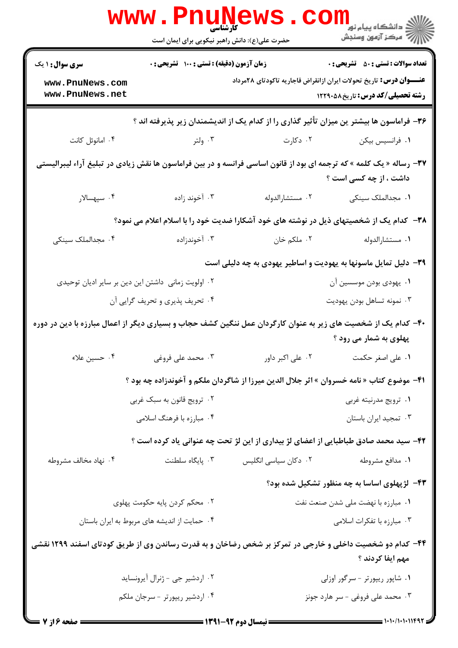|                                                                                                           | <b>www.rnune</b><br><b>کارشناسی</b><br>حضرت علی(ع): دانش راهبر نیکویی برای ایمان است | WS                                                                                                                  |                                              |
|-----------------------------------------------------------------------------------------------------------|--------------------------------------------------------------------------------------|---------------------------------------------------------------------------------------------------------------------|----------------------------------------------|
| <b>سری سوال : ۱ یک</b>                                                                                    | زمان آزمون (دقیقه) : تستی : ۱۰۰ آتشریحی : ۰                                          |                                                                                                                     | <b>تعداد سوالات : تستي : 50 ٪ تشريحي : 0</b> |
| www.PnuNews.com<br>www.PnuNews.net                                                                        |                                                                                      | <b>عنــــوان درس:</b> تاریخ تحولات ایران ازانقراض قاجاریه تاکودتای ۲۸مرداد                                          | <b>رشته تحصیلی/کد درس:</b> تاریخ5881211      |
|                                                                                                           |                                                                                      | ۳۶- فراماسون ها بیشتر ین میزان تأثیر گذاری را از کدام یک از اندیشمندان زیر پذیرفته اند ؟                            |                                              |
| ۰۴ امانوئل کانت                                                                                           |                                                                                      | ۰۲ دکارت<br>ا ولتر $\mathfrak{r}$ ولتر                                                                              | ٠١ فرانسيس بيكن                              |
|                                                                                                           |                                                                                      | ۳۷- رساله « یک کلمه » که ترجمه ای بود از قانون اساسی فرانسه و در بین فراماسون ها نقش زیادی در تبلیغ آراء لیبرالیستی | داشت ، از چه کسی است ؟                       |
| ۰۴ سپهسالار                                                                                               | ۰۳ آخوند زاده                                                                        | ۰۲ مستشارالدوله                                                                                                     | ۰۱ مجدالملک سینکی                            |
|                                                                                                           |                                                                                      | ۳۸- کدام یک از شخصیتهای ذیل در نوشته های خود آشکارا ضدیت خود را با اسلام اعلام می نمود؟                             |                                              |
| ۰۴ مجدالملک سینکی                                                                                         | ۰۳ آخوندزاده                                                                         | ۰۲ ملکم خان                                                                                                         | ۰۱ مستشارالدوله                              |
|                                                                                                           |                                                                                      | ۳۹- دلیل تمایل ماسونها به یهودیت و اساطیر یهودی به چه دلیلی است                                                     |                                              |
|                                                                                                           | ۰۲ اولویت زمانی داشتن این دین بر سایر ادیان توحیدی                                   |                                                                                                                     | ۰۱ يهودي بودن موسسين آن                      |
|                                                                                                           | ۰۴ تحریف پذیری و تحریف گرایی آن                                                      |                                                                                                                     | ۰۳ نمونه تساهل بودن يهوديت                   |
|                                                                                                           |                                                                                      | ۴۰– کدام یک از شخصیت های زیر به عنوان کارگردان عمل ننگین کشف حجاب و بسیاری دیگر از اعمال مبارزه با دین در دوره      |                                              |
|                                                                                                           |                                                                                      |                                                                                                                     | پهلوی به شمار می رود ؟                       |
| ۰۴ حسین علاء                                                                                              | ۰۳ محمد علی فروغی                                                                    | ۰۲ علی اکبر داور                                                                                                    | ۰۱ على اصغر حكمت                             |
|                                                                                                           |                                                                                      | ۴۱- موضوع کتاب « نامه خسروان » اثر جلال الدین میرزا از شاگردان ملکم و آخوندزاده چه بود ؟                            |                                              |
|                                                                                                           | ۰۲ ترویج قانون به سبک غربی                                                           |                                                                                                                     | ۰۱ ترویج مدرنیته غربی                        |
|                                                                                                           | ۰۴ مبارزه با فرهنگ اسلامی                                                            |                                                                                                                     | ۰۳ تمجيد ايران باستان                        |
|                                                                                                           |                                                                                      | ۴۲- سید محمد صادق طباطبایی از اعضای لژ بیداری از این لژ تحت چه عنوانی یاد کرده است ؟                                |                                              |
| ۰۴ نهاد مخالف مشروطه                                                                                      | ۰۳. پایگاه سلطنت                                                                     | ۰۲ دکان سیاسی انگلیس                                                                                                | ۰۱ مدافع مشروطه                              |
|                                                                                                           |                                                                                      |                                                                                                                     | ۴۳- لژپهلوی اساسا به چه منظور تشکیل شده بود؟ |
| ۰۲ محکم کردن پایه حکومت پهلوی                                                                             |                                                                                      |                                                                                                                     | ٠١ مبارزه با نهضت ملي شدن صنعت نفت           |
|                                                                                                           | ۰۴ حمایت از اندیشه های مربوط به ایران باستان                                         |                                                                                                                     | ۰۳ مبارزه با تفكرات اسلامى                   |
| ۴۴– کدام دو شخصیت داخلی و خارجی در تمرکز بر شخص رضاخان و به قدرت رساندن وی از طریق کودتای اسفند ۱۲۹۹ نقشی |                                                                                      |                                                                                                                     |                                              |
|                                                                                                           |                                                                                      |                                                                                                                     | مهم ايفا كردند ؟                             |
|                                                                                                           | ۰۲ اردشیر جی - ژنرال آیرونساید                                                       |                                                                                                                     | ۰۱ شاپور ریپورتر - سرگور اوزلی               |
|                                                                                                           | ۰۴ اردشیر ریپورتر - سرجان ملکم                                                       |                                                                                                                     | ۰۳ محمد علی فروغی - سر هارد جونز             |
| <b>= صفحه ۱۶ز 7 =</b>                                                                                     |                                                                                      | ــــــــــــــــــــــ نیمسال دوم ۹۲-۱۳۹۱ ـــــــ                                                                   |                                              |